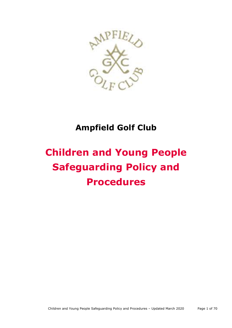

## **Ampfield Golf Club**

# **Children and Young People Safeguarding Policy and Procedures**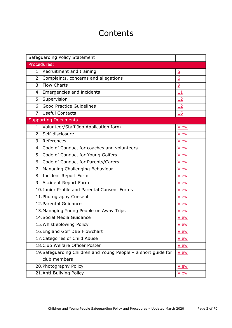## **Contents**

| Safeguarding Policy Statement                                  |                |
|----------------------------------------------------------------|----------------|
| Procedures:                                                    |                |
| 1. Recruitment and training                                    | $\overline{5}$ |
| 2. Complaints, concerns and allegations                        | 6              |
| 3. Flow Charts                                                 | 9              |
| 4. Emergencies and incidents                                   | 11             |
| 5. Supervision                                                 | 12             |
| 6. Good Practice Guidelines                                    | 12             |
| 7. Useful Contacts                                             | 16             |
| <b>Supporting Documents</b>                                    |                |
| 1. Volunteer/Staff Job Application form                        | <b>View</b>    |
| 2. Self-disclosure                                             | <b>View</b>    |
| 3. References                                                  | <b>View</b>    |
| 4. Code of Conduct for coaches and volunteers                  | <b>View</b>    |
| 5. Code of Conduct for Young Golfers                           | <b>View</b>    |
| 6. Code of Conduct for Parents/Carers                          | <b>View</b>    |
| 7. Managing Challenging Behaviour                              | <b>View</b>    |
| 8. Incident Report Form                                        | <b>View</b>    |
| 9. Accident Report Form                                        | <b>View</b>    |
| 10.Junior Profile and Parental Consent Forms                   | <b>View</b>    |
| 11. Photography Consent                                        | <b>View</b>    |
| 12. Parental Guidance                                          | <b>View</b>    |
| 13. Managing Young People on Away Trips                        | <b>View</b>    |
| 14. Social Media Guidance                                      | <b>View</b>    |
| 15. Whistleblowing Policy                                      | <b>View</b>    |
| 16. England Golf DBS Flowchart                                 | <b>View</b>    |
| 17. Categories of Child Abuse                                  | <b>View</b>    |
| 18. Club Welfare Officer Poster                                | View           |
| 19. Safeguarding Children and Young People - a short guide for | View           |
| club members                                                   |                |
| 20. Photography Policy                                         | <b>View</b>    |
| 21.Anti-Bullying Policy                                        | View           |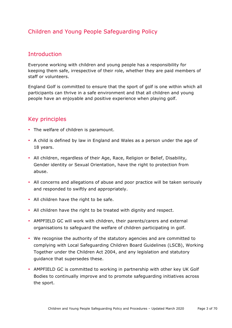## Children and Young People Safeguarding Policy

## **Introduction**

Everyone working with children and young people has a responsibility for keeping them safe, irrespective of their role, whether they are paid members of staff or volunteers.

England Golf is committed to ensure that the sport of golf is one within which all participants can thrive in a safe environment and that all children and young people have an enjoyable and positive experience when playing golf.

## Key principles

- The welfare of children is paramount.
- A child is defined by law in England and Wales as a person under the age of 18 years.
- All children, regardless of their Age, Race, Religion or Belief, Disability, Gender identity or Sexual Orientation, have the right to protection from abuse.
- All concerns and allegations of abuse and poor practice will be taken seriously and responded to swiftly and appropriately.
- All children have the right to be safe.
- All children have the right to be treated with dignity and respect.
- AMPFIELD GC will work with children, their parents/carers and external organisations to safeguard the welfare of children participating in golf.
- We recognise the authority of the statutory agencies and are committed to complying with Local Safeguarding Children Board Guidelines (LSCB), Working Together under the Children Act 2004, and any legislation and statutory guidance that supersedes these.
- AMPFIELD GC is committed to working in partnership with other key UK Golf Bodies to continually improve and to promote safeguarding initiatives across the sport.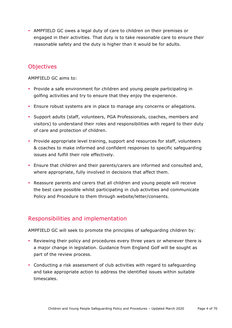• AMPFIELD GC owes a legal duty of care to children on their premises or engaged in their activities. That duty is to take reasonable care to ensure their reasonable safety and the duty is higher than it would be for adults.

## **Objectives**

AMPFIELD GC aims to:

- Provide a safe environment for children and young people participating in golfing activities and try to ensure that they enjoy the experience.
- Ensure robust systems are in place to manage any concerns or allegations.
- Support adults (staff, volunteers, PGA Professionals, coaches, members and visitors) to understand their roles and responsibilities with regard to their duty of care and protection of children.
- Provide appropriate level training, support and resources for staff, volunteers & coaches to make informed and confident responses to specific safeguarding issues and fulfill their role effectively.
- Ensure that children and their parents/carers are informed and consulted and, where appropriate, fully involved in decisions that affect them.
- Reassure parents and carers that all children and young people will receive the best care possible whilst participating in club activities and communicate Policy and Procedure to them through website/letter/consents.

## Responsibilities and implementation

AMPFIELD GC will seek to promote the principles of safeguarding children by:

- Reviewing their policy and procedures every three years or whenever there is a major change in legislation. Guidance from England Golf will be sought as part of the review process.
- Conducting a risk assessment of club activities with regard to safeguarding and take appropriate action to address the identified issues within suitable timescales.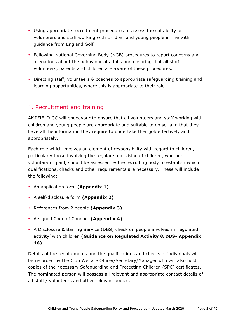- Using appropriate recruitment procedures to assess the suitability of volunteers and staff working with children and young people in line with guidance from England Golf.
- Following National Governing Body (NGB) procedures to report concerns and allegations about the behaviour of adults and ensuring that all staff, volunteers, parents and children are aware of these procedures.
- Directing staff, volunteers & coaches to appropriate safeguarding training and learning opportunities, where this is appropriate to their role.

## 1. Recruitment and training

AMPFIELD GC will endeavour to ensure that all volunteers and staff working with children and young people are appropriate and suitable to do so, and that they have all the information they require to undertake their job effectively and appropriately.

Each role which involves an element of responsibility with regard to children, particularly those involving the regular supervision of children, whether voluntary or paid, should be assessed by the recruiting body to establish which qualifications, checks and other requirements are necessary. These will include the following:

- An application form **(Appendix 1)**
- A self-disclosure form **(Appendix 2)**
- References from 2 people **(Appendix 3)**
- A signed Code of Conduct **(Appendix 4)**
- A Disclosure & Barring Service (DBS) check on people involved in 'regulated activity' with children **(Guidance on Regulated Activity & DBS- Appendix 16)**

Details of the requirements and the qualifications and checks of individuals will be recorded by the Club Welfare Officer/Secretary/Manager who will also hold copies of the necessary Safeguarding and Protecting Children (SPC) certificates. The nominated person will possess all relevant and appropriate contact details of all staff / volunteers and other relevant bodies.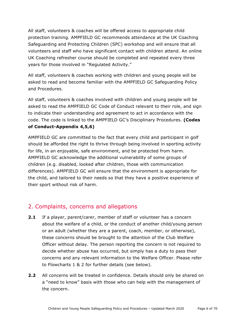All staff, volunteers & coaches will be offered access to appropriate child protection training. AMPFIELD GC recommends attendance at the UK Coaching Safeguarding and Protecting Children (SPC) workshop and will ensure that all volunteers and staff who have significant contact with children attend. An online UK Coaching refresher course should be completed and repeated every three years for those involved in "Regulated Activity."

All staff, volunteers & coaches working with children and young people will be asked to read and become familiar with the AMPFIELD GC Safeguarding Policy and Procedures.

All staff, volunteers & coaches involved with children and young people will be asked to read the AMPFIELD GC Code of Conduct relevant to their role, and sign to indicate their understanding and agreement to act in accordance with the code. The code is linked to the AMPFIELD GC's Disciplinary Procedures. **(Codes of Conduct-Appendix 4,5,6)**

AMPFIELD GC are committed to the fact that every child and participant in golf should be afforded the right to thrive through being involved in sporting activity for life, in an enjoyable, safe environment, and be protected from harm. AMPFIELD GC acknowledge the additional vulnerability of some groups of children (e.g. disabled, looked after children, those with communication differences). AMPFIELD GC will ensure that the environment is appropriate for the child, and tailored to their needs so that they have a positive experience of their sport without risk of harm.

## 2. Complaints, concerns and allegations

- **2.1** If a player, parent/carer, member of staff or volunteer has a concern about the welfare of a child, or the conduct of another child/young person or an adult (whether they are a parent, coach, member, or otherwise), these concerns should be brought to the attention of the Club Welfare Officer without delay. The person reporting the concern is not required to decide whether abuse has occurred, but simply has a duty to pass their concerns and any relevant information to the Welfare Officer. Please refer to Flowcharts 1 & 2 for further details (see below).
- **2.2** All concerns will be treated in confidence. Details should only be shared on a "need to know" basis with those who can help with the management of the concern.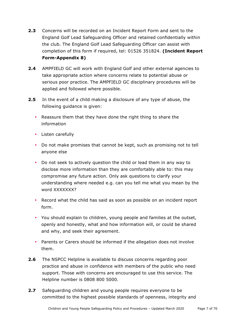- **2.3** Concerns will be recorded on an Incident Report Form and sent to the England Golf Lead Safeguarding Officer and retained confidentially within the club. The England Golf Lead Safeguarding Officer can assist with completion of this form if required, tel: 01526 351824. **(Incident Report Form-Appendix 8)**
- **2.4** AMPFIELD GC will work with England Golf and other external agencies to take appropriate action where concerns relate to potential abuse or serious poor practice. The AMPFIELD GC disciplinary procedures will be applied and followed where possible.
- **2.5** In the event of a child making a disclosure of any type of abuse, the following guidance is given:
	- Reassure them that they have done the right thing to share the information
	- Listen carefully
	- Do not make promises that cannot be kept, such as promising not to tell anyone else
	- Do not seek to actively question the child or lead them in any way to disclose more information than they are comfortably able to: this may compromise any future action. Only ask questions to clarify your understanding where needed e.g. can you tell me what you mean by the word XXXXXXX?
	- Record what the child has said as soon as possible on an incident report form.
	- You should explain to children, young people and families at the outset, openly and honestly, what and how information will, or could be shared and why, and seek their agreement.
	- Parents or Carers should be informed if the allegation does not involve them.
- **2.6** The NSPCC Helpline is available to discuss concerns regarding poor practice and abuse in confidence with members of the public who need support. Those with concerns are encouraged to use this service. The Helpline number is 0808 800 5000.
- **2.7** Safeguarding children and young people requires everyone to be committed to the highest possible standards of openness, integrity and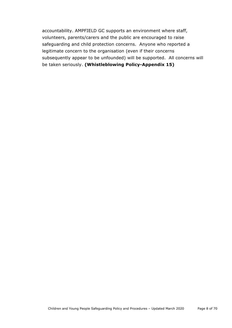accountability. AMPFIELD GC supports an environment where staff, volunteers, parents/carers and the public are encouraged to raise safeguarding and child protection concerns. Anyone who reported a legitimate concern to the organisation (even if their concerns subsequently appear to be unfounded) will be supported. All concerns will be taken seriously. **(Whistleblowing Policy-Appendix 15)**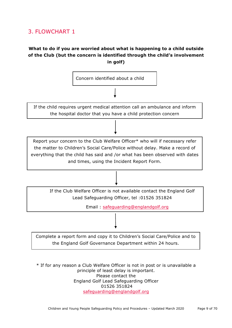## 3. FLOWCHART 1

## **What to do if you are worried about what is happening to a child outside of the Club (but the concern is identified through the child's involvement in golf)**



\* If for any reason a Club Welfare Officer is not in post or is unavailable a principle of least delay is important. Please contact the England Golf Lead Safeguarding Officer 01526 351824 safeguarding@englandgolf.org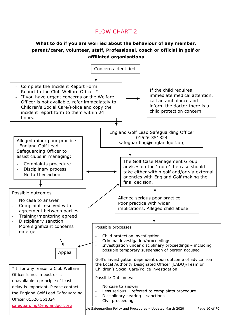## FLOW CHART 2

## **What to do if you are worried about the behaviour of any member, parent/carer, volunteer, staff, Professional, coach or official in golf or affiliated organisations**

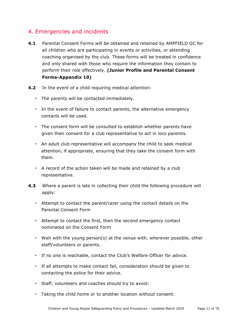## 4. Emergencies and incidents

- **4.1** Parental Consent Forms will be obtained and retained by AMPFIELD GC for all children who are participating in events or activities, or attending coaching organised by the club. These forms will be treated in confidence and only shared with those who require the information they contain to perform their role effectively. **(Junior Profile and Parental Consent Forms-Appendix 10)**
- **4.2** In the event of a child requiring medical attention:
	- The parents will be contacted immediately.
	- In the event of failure to contact parents, the alternative emergency contacts will be used.
	- The consent form will be consulted to establish whether parents have given their consent for a club representative to act in loco parentis.
	- An adult club representative will accompany the child to seek medical attention, if appropriate, ensuring that they take the consent form with them.
	- A record of the action taken will be made and retained by a club representative.
- **4.3** Where a parent is late in collecting their child the following procedure will apply:
	- Attempt to contact the parent/carer using the contact details on the Parental Consent Form
	- Attempt to contact the first, then the second emergency contact nominated on the Consent Form
	- Wait with the young person(s) at the venue with, wherever possible, other staff/volunteers or parents.
	- If no one is reachable, contact the Club's Welfare Officer for advice.
	- If all attempts to make contact fail, consideration should be given to contacting the police for their advice.
	- Staff, volunteers and coaches should try to avoid:
	- Taking the child home or to another location without consent.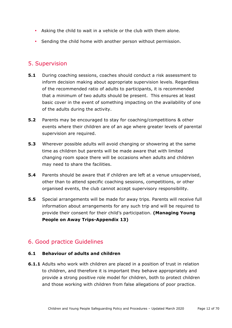- Asking the child to wait in a vehicle or the club with them alone.
- Sending the child home with another person without permission.

## 5. Supervision

- **5.1** During coaching sessions, coaches should conduct a risk assessment to inform decision making about appropriate supervision levels. Regardless of the recommended ratio of adults to participants, it is recommended that a minimum of two adults should be present. This ensures at least basic cover in the event of something impacting on the availability of one of the adults during the activity.
- **5.2** Parents may be encouraged to stay for coaching/competitions & other events where their children are of an age where greater levels of parental supervision are required.
- **5.3** Wherever possible adults will avoid changing or showering at the same time as children but parents will be made aware that with limited changing room space there will be occasions when adults and children may need to share the facilities.
- **5.4** Parents should be aware that if children are left at a venue unsupervised, other than to attend specific coaching sessions, competitions, or other organised events, the club cannot accept supervisory responsibility.
- **5.5** Special arrangements will be made for away trips. Parents will receive full information about arrangements for any such trip and will be required to provide their consent for their child's participation. **(Managing Young People on Away Trips-Appendix 13)**

## 6. Good practice Guidelines

#### **6.1 Behaviour of adults and children**

**6.1.1** Adults who work with children are placed in a position of trust in relation to children, and therefore it is important they behave appropriately and provide a strong positive role model for children, both to protect children and those working with children from false allegations of poor practice.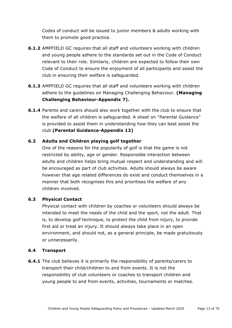Codes of conduct will be issued to junior members & adults working with them to promote good practice.

- **6.1.2** AMPFIELD GC requires that all staff and volunteers working with children and young people adhere to the standards set out in the Code of Conduct relevant to their role. Similarly, children are expected to follow their own Code of Conduct to ensure the enjoyment of all participants and assist the club in ensuring their welfare is safeguarded.
- **6.1.3** AMPFIELD GC requires that all staff and volunteers working with children adhere to the guidelines on Managing Challenging Behaviour. **(Managing Challenging Behaviour-Appendix 7).**
- **6.1.4** Parents and carers should also work together with the club to ensure that the welfare of all children is safeguarded. A sheet on "Parental Guidance" is provided to assist them in understanding how they can best assist the club **(Parental Guidance-Appendix 12)**

## **6.2 Adults and Children playing golf together**

One of the reasons for the popularity of golf is that the game is not restricted by ability, age or gender. Responsible interaction between adults and children helps bring mutual respect and understanding and will be encouraged as part of club activities. Adults should always be aware however that age related differences do exist and conduct themselves in a manner that both recognises this and prioritises the welfare of any children involved.

#### **6.3 Physical Contact**

Physical contact with children by coaches or volunteers should always be intended to meet the needs of the child and the sport, not the adult. That is, to develop golf technique, to protect the child from injury, to provide first aid or treat an injury. It should always take place in an open environment, and should not, as a general principle, be made gratuitously or unnecessarily.

#### **6.4 Transport**

**6.4.1** The club believes it is primarily the responsibility of parents/carers to transport their child/children to and from events. It is not the responsibility of club volunteers or coaches to transport children and young people to and from events, activities, tournaments or matches.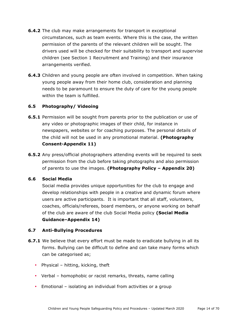- **6.4.2** The club may make arrangements for transport in exceptional circumstances, such as team events. Where this is the case, the written permission of the parents of the relevant children will be sought. The drivers used will be checked for their suitability to transport and supervise children (see Section 1 Recruitment and Training) and their insurance arrangements verified.
- **6.4.3** Children and young people are often involved in competition. When taking young people away from their home club, consideration and planning needs to be paramount to ensure the duty of care for the young people within the team is fulfilled.

#### **6.5 Photography/ Videoing**

- **6.5.1** Permission will be sought from parents prior to the publication or use of any video or photographic images of their child, for instance in newspapers, websites or for coaching purposes. The personal details of the child will not be used in any promotional material. **(Photography Consent-Appendix 11)**
- **6.5.2** Any press/official photographers attending events will be required to seek permission from the club before taking photographs and also permission of parents to use the images. **(Photography Policy – Appendix 20)**

#### **6.6 Social Media**

Social media provides unique opportunities for the club to engage and develop relationships with people in a creative and dynamic forum where users are active participants. It is important that all staff, volunteers, coaches, officials/referees, board members, or anyone working on behalf of the club are aware of the club Social Media policy **(Social Media Guidance–Appendix 14)**

#### **6.7 Anti-Bullying Procedures**

- **6.7.1** We believe that every effort must be made to eradicate bullying in all its forms. Bullying can be difficult to define and can take many forms which can be categorised as;
	- Physical hitting, kicking, theft
	- Verbal homophobic or racist remarks, threats, name calling
	- Emotional isolating an individual from activities or a group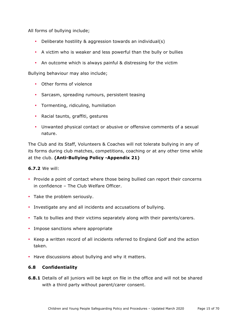All forms of bullying include;

- Deliberate hostility & aggression towards an individual(s)
- A victim who is weaker and less powerful than the bully or bullies
- An outcome which is always painful & distressing for the victim

Bullying behaviour may also include;

- Other forms of violence
- Sarcasm, spreading rumours, persistent teasing
- Tormenting, ridiculing, humiliation
- Racial taunts, graffiti, gestures
- Unwanted physical contact or abusive or offensive comments of a sexual nature.

The Club and its Staff, Volunteers & Coaches will not tolerate bullying in any of its forms during club matches, competitions, coaching or at any other time while at the club. **(Anti-Bullying Policy -Appendix 21)**

#### **6.7.2** We will:

- Provide a point of contact where those being bullied can report their concerns in confidence – The Club Welfare Officer.
- Take the problem seriously.
- Investigate any and all incidents and accusations of bullying.
- Talk to bullies and their victims separately along with their parents/carers.
- Impose sanctions where appropriate
- Keep a written record of all incidents referred to England Golf and the action taken.
- Have discussions about bullying and why it matters.

#### **6.8 Confidentiality**

**6.8.1** Details of all juniors will be kept on file in the office and will not be shared with a third party without parent/carer consent.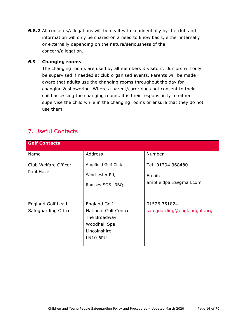**6.8.2** All concerns/allegations will be dealt with confidentially by the club and information will only be shared on a need to know basis, either internally or externally depending on the nature/seriousness of the concern/allegation.

#### **6.9 Changing rooms**

The changing rooms are used by all members & visitors. Juniors will only be supervised if needed at club organised events. Parents will be made aware that adults use the changing rooms throughout the day for changing & showering. Where a parent/carer does not consent to their child accessing the changing rooms, it is their responsibility to either supervise the child while in the changing rooms or ensure that they do not use them.

## 7. Useful Contacts

| <b>Golf Contacts</b>                             |                                                                                                                       |                                                       |
|--------------------------------------------------|-----------------------------------------------------------------------------------------------------------------------|-------------------------------------------------------|
| Name                                             | Address                                                                                                               | Number                                                |
| Club Welfare Officer -<br>Paul Hazell            | Ampfield Golf Club<br>Winchester Rd,<br>Romsey SO51 9BQ                                                               | Tel: 01794 368480<br>Email:<br>ampfieldpar3@gmail.com |
| <b>England Golf Lead</b><br>Safeguarding Officer | <b>England Golf</b><br><b>National Golf Centre</b><br>The Broadway<br>Woodhall Spa<br>Lincolnshire<br><b>LN10 6PU</b> | 01526 351824<br>safeguarding@englandgolf.org          |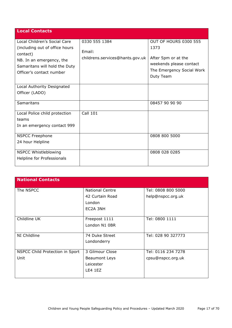| <b>Local Contacts</b>                      |                                 |                                                      |
|--------------------------------------------|---------------------------------|------------------------------------------------------|
| Local Children's Social Care               | 0330 555 1384                   | OUT OF HOURS 0300 555                                |
| (including out of office hours<br>contact) | Email:                          | 1373                                                 |
| NB. In an emergency, the                   | childrens.services@hants.gov.uk | After 5pm or at the                                  |
| Samaritans will hold the Duty              |                                 | weekends please contact<br>The Emergency Social Work |
| Officer's contact number                   |                                 | Duty Team                                            |
| Local Authority Designated                 |                                 |                                                      |
| Officer (LADO)                             |                                 |                                                      |
| Samaritans                                 |                                 | 08457 90 90 90                                       |
| Local Police child protection              | <b>Call 101</b>                 |                                                      |
| teams                                      |                                 |                                                      |
| In an emergency contact 999                |                                 |                                                      |
| <b>NSPCC Freephone</b>                     |                                 | 0808 800 5000                                        |
| 24 hour Helpline                           |                                 |                                                      |
| NSPCC Whistleblowing                       |                                 | 0808 028 0285                                        |
| Helpline for Professionals                 |                                 |                                                      |

| <b>National Contacts</b>        |                        |                    |
|---------------------------------|------------------------|--------------------|
| The NSPCC                       | <b>National Centre</b> | Tel: 0808 800 5000 |
|                                 | 42 Curtain Road        | help@nspcc.org.uk  |
|                                 | London                 |                    |
|                                 | EC2A 3NH               |                    |
|                                 |                        |                    |
| Childline UK                    | Freepost 1111          | Tel: 0800 1111     |
|                                 | London N1 0BR          |                    |
|                                 |                        |                    |
| NI Childline                    | 74 Duke Street         | Tel: 028 90 327773 |
|                                 | Londonderry            |                    |
|                                 |                        |                    |
| NSPCC Child Protection in Sport | 3 Gilmour Close        | Tel: 0116 234 7278 |
| Unit                            | <b>Beaumont Leys</b>   | cpsu@nspcc.org.uk  |
|                                 | Leicester              |                    |
|                                 | LE4 1EZ                |                    |
|                                 |                        |                    |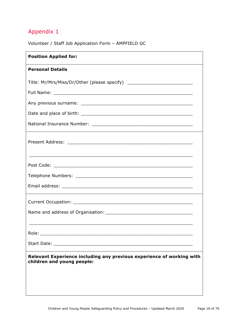Volunteer / Staff Job Application Form – AMPFIELD GC

| <b>Position Applied for:</b>                                                                        |  |
|-----------------------------------------------------------------------------------------------------|--|
| <b>Personal Details</b>                                                                             |  |
| Title: Mr/Mrs/Miss/Dr/Other (please specify) ___________________________________                    |  |
|                                                                                                     |  |
|                                                                                                     |  |
|                                                                                                     |  |
|                                                                                                     |  |
|                                                                                                     |  |
|                                                                                                     |  |
|                                                                                                     |  |
|                                                                                                     |  |
|                                                                                                     |  |
|                                                                                                     |  |
|                                                                                                     |  |
|                                                                                                     |  |
|                                                                                                     |  |
|                                                                                                     |  |
|                                                                                                     |  |
| Relevant Experience including any previous experience of working with<br>children and young people: |  |
|                                                                                                     |  |
|                                                                                                     |  |
|                                                                                                     |  |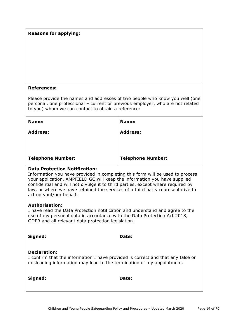#### **Reasons for applying:**

#### **References:**

Please provide the names and addresses of two people who know you well (one personal, one professional – current or previous employer, who are not related to you) whom we can contact to obtain a reference:

| Name:                    | Name:                    |
|--------------------------|--------------------------|
| <b>Address:</b>          | <b>Address:</b>          |
|                          |                          |
|                          |                          |
| <b>Telephone Number:</b> | <b>Telephone Number:</b> |

#### **Data Protection Notification:**

Information you have provided in completing this form will be used to process your application. AMPFIELD GC will keep the information you have supplied confidential and will not divulge it to third parties, except where required by law, or where we have retained the services of a third party representative to act on yout/our behalf.

#### **Authorisation:**

I have read the Data Protection notification and understand and agree to the use of my personal data in accordance with the Data Protection Act 2018, GDPR and all relevant data protection legislation.

| Signed:             | Date:                                                                           |  |
|---------------------|---------------------------------------------------------------------------------|--|
| <b>Declaration:</b> | I confirm that the information I have provided is correct and that any false or |  |
|                     | misleading information may lead to the termination of my appointment.           |  |
| Signed:             | <b>Date:</b>                                                                    |  |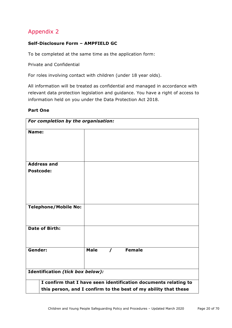## **Self-Disclosure Form – AMPFIELD GC**

To be completed at the same time as the application form:

Private and Confidential

For roles involving contact with children (under 18 year olds).

All information will be treated as confidential and managed in accordance with relevant data protection legislation and guidance. You have a right of access to information held on you under the Data Protection Act 2018.

#### **Part One**

| For completion by the organisation: |                                                                 |                                                                 |
|-------------------------------------|-----------------------------------------------------------------|-----------------------------------------------------------------|
| Name:                               |                                                                 |                                                                 |
|                                     |                                                                 |                                                                 |
|                                     |                                                                 |                                                                 |
| <b>Address and</b>                  |                                                                 |                                                                 |
| <b>Postcode:</b>                    |                                                                 |                                                                 |
|                                     |                                                                 |                                                                 |
|                                     |                                                                 |                                                                 |
|                                     |                                                                 |                                                                 |
| <b>Telephone/Mobile No:</b>         |                                                                 |                                                                 |
|                                     |                                                                 |                                                                 |
| <b>Date of Birth:</b>               |                                                                 |                                                                 |
|                                     |                                                                 |                                                                 |
| Gender:                             |                                                                 | / Female                                                        |
|                                     | <b>Male</b>                                                     |                                                                 |
|                                     |                                                                 |                                                                 |
| Identification (tick box below):    |                                                                 |                                                                 |
|                                     |                                                                 | I confirm that I have seen identification documents relating to |
|                                     | this person, and I confirm to the best of my ability that these |                                                                 |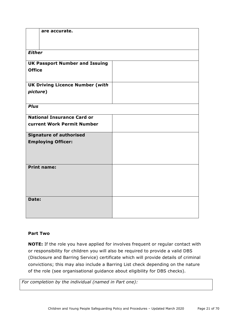|               | are accurate.                          |  |
|---------------|----------------------------------------|--|
|               |                                        |  |
| <b>Either</b> |                                        |  |
|               | <b>UK Passport Number and Issuing</b>  |  |
| <b>Office</b> |                                        |  |
|               | <b>UK Driving Licence Number (with</b> |  |
| picture)      |                                        |  |
| <b>Plus</b>   |                                        |  |
|               | <b>National Insurance Card or</b>      |  |
|               | current Work Permit Number             |  |
|               | <b>Signature of authorised</b>         |  |
|               | <b>Employing Officer:</b>              |  |
|               |                                        |  |
|               |                                        |  |
|               | <b>Print name:</b>                     |  |
|               |                                        |  |
|               |                                        |  |
|               |                                        |  |
| Date:         |                                        |  |
|               |                                        |  |
|               |                                        |  |

## **Part Two**

**NOTE:** If the role you have applied for involves frequent or regular contact with or responsibility for children you will also be required to provide a valid DBS (Disclosure and Barring Service) certificate which will provide details of criminal convictions; this may also include a Barring List check depending on the nature of the role (see organisational guidance about eligibility for DBS checks).

*For completion by the individual (named in Part one):*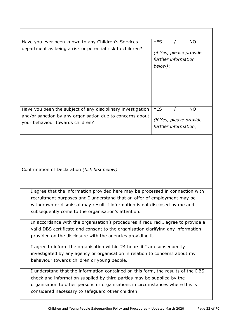| Have you ever been known to any Children's Services<br>department as being a risk or potential risk to children?                                                                                                                                                                                 | <b>YES</b><br><b>NO</b><br>(if Yes, please provide<br>further information<br>below): |
|--------------------------------------------------------------------------------------------------------------------------------------------------------------------------------------------------------------------------------------------------------------------------------------------------|--------------------------------------------------------------------------------------|
|                                                                                                                                                                                                                                                                                                  |                                                                                      |
| Have you been the subject of any disciplinary investigation<br>and/or sanction by any organisation due to concerns about<br>your behaviour towards children?                                                                                                                                     | <b>YES</b><br><b>NO</b><br>(if Yes, please provide<br>further information)           |
| Confirmation of Declaration (tick box below)                                                                                                                                                                                                                                                     |                                                                                      |
| I agree that the information provided here may be processed in connection with<br>recruitment purposes and I understand that an offer of employment may be<br>withdrawn or dismissal may result if information is not disclosed by me and<br>subsequently come to the organisation's attention.  |                                                                                      |
| In accordance with the organisation's procedures if required I agree to provide a<br>valid DBS certificate and consent to the organisation clarifying any information<br>provided on the disclosure with the agencies providing it.                                                              |                                                                                      |
| I agree to inform the organisation within 24 hours if I am subsequently<br>investigated by any agency or organisation in relation to concerns about my<br>behaviour towards children or young people.                                                                                            |                                                                                      |
| I understand that the information contained on this form, the results of the DBS<br>check and information supplied by third parties may be supplied by the<br>organisation to other persons or organisations in circumstances where this is<br>considered necessary to safeguard other children. |                                                                                      |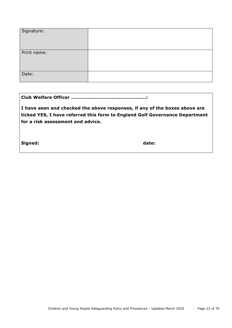| Signature:  |  |
|-------------|--|
| Print name: |  |
| Date:       |  |

|--|--|--|--|

**I have seen and checked the above responses, if any of the boxes above are ticked YES, I have referred this form to England Golf Governance Department for a risk assessment and advice.**

Signed: **date: date: date: date:**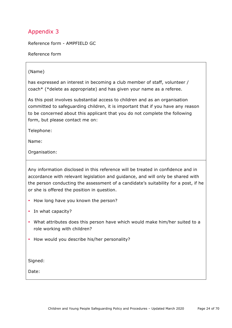Reference form - AMPFIELD GC

Reference form

#### (Name)

has expressed an interest in becoming a club member of staff, volunteer / coach\* (\*delete as appropriate) and has given your name as a referee.

As this post involves substantial access to children and as an organisation committed to safeguarding children, it is important that if you have any reason to be concerned about this applicant that you do not complete the following form, but please contact me on:

Telephone:

Name:

Organisation:

Any information disclosed in this reference will be treated in confidence and in accordance with relevant legislation and guidance, and will only be shared with the person conducting the assessment of a candidate's suitability for a post, if he or she is offered the position in question.

- How long have you known the person?
- In what capacity?
- What attributes does this person have which would make him/her suited to a role working with children?
- How would you describe his/her personality?

Signed:

Date: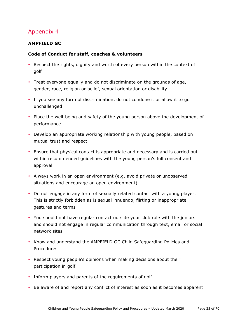## **AMPFIELD GC**

#### **Code of Conduct for staff, coaches & volunteers**

- Respect the rights, dignity and worth of every person within the context of golf
- Treat everyone equally and do not discriminate on the grounds of age, gender, race, religion or belief, sexual orientation or disability
- If you see any form of discrimination, do not condone it or allow it to go unchallenged
- Place the well-being and safety of the young person above the development of performance
- Develop an appropriate working relationship with young people, based on mutual trust and respect
- Ensure that physical contact is appropriate and necessary and is carried out within recommended guidelines with the young person's full consent and approval
- Always work in an open environment (e.g. avoid private or unobserved situations and encourage an open environment)
- Do not engage in any form of sexually related contact with a young player. This is strictly forbidden as is sexual innuendo, flirting or inappropriate gestures and terms
- You should not have regular contact outside your club role with the juniors and should not engage in regular communication through text, email or social network sites
- Know and understand the AMPFIELD GC Child Safeguarding Policies and Procedures
- Respect young people's opinions when making decisions about their participation in golf
- Inform players and parents of the requirements of golf
- Be aware of and report any conflict of interest as soon as it becomes apparent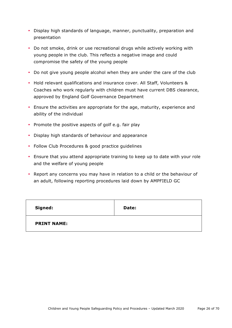- Display high standards of language, manner, punctuality, preparation and presentation
- Do not smoke, drink or use recreational drugs while actively working with young people in the club. This reflects a negative image and could compromise the safety of the young people
- Do not give young people alcohol when they are under the care of the club
- Hold relevant qualifications and insurance cover. All Staff, Volunteers & Coaches who work regularly with children must have current DBS clearance, approved by England Golf Governance Department
- Ensure the activities are appropriate for the age, maturity, experience and ability of the individual
- Promote the positive aspects of golf e.g. fair play
- Display high standards of behaviour and appearance
- Follow Club Procedures & good practice guidelines
- Ensure that you attend appropriate training to keep up to date with your role and the welfare of young people
- Report any concerns you may have in relation to a child or the behaviour of an adult, following reporting procedures laid down by AMPFIELD GC

| Signed:            | Date: |
|--------------------|-------|
| <b>PRINT NAME:</b> |       |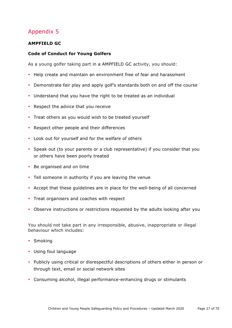## **AMPFIELD GC**

#### **Code of Conduct for Young Golfers**

As a young golfer taking part in a AMPFIELD GC activity, you should:

- Help create and maintain an environment free of fear and harassment
- Demonstrate fair play and apply golf's standards both on and off the course
- Understand that you have the right to be treated as an individual
- Respect the advice that you receive
- Treat others as you would wish to be treated yourself
- Respect other people and their differences
- Look out for yourself and for the welfare of others
- Speak out (to your parents or a club representative) if you consider that you or others have been poorly treated
- Be organised and on time
- Tell someone in authority if you are leaving the venue
- Accept that these guidelines are in place for the well-being of all concerned
- Treat organisers and coaches with respect
- Observe instructions or restrictions requested by the adults looking after you

You should not take part in any irresponsible, abusive, inappropriate or illegal behaviour which includes:

- Smoking
- Using foul language
- Publicly using critical or disrespectful descriptions of others either in person or through text, email or social network sites
- Consuming alcohol, illegal performance-enhancing drugs or stimulants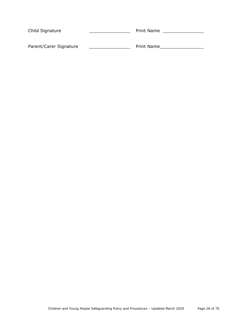| Child Signature        | <b>Print Name</b> |
|------------------------|-------------------|
| Parent/Carer Signature | Print Name        |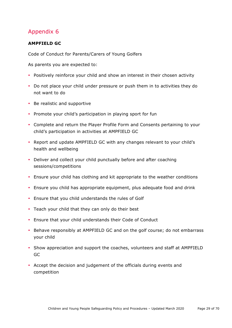## **AMPFIELD GC**

Code of Conduct for Parents/Carers of Young Golfers

As parents you are expected to:

- Positively reinforce your child and show an interest in their chosen activity
- Do not place your child under pressure or push them in to activities they do not want to do
- Be realistic and supportive
- Promote your child's participation in playing sport for fun
- Complete and return the Player Profile Form and Consents pertaining to your child's participation in activities at AMPFIELD GC
- Report and update AMPFIELD GC with any changes relevant to your child's health and wellbeing
- Deliver and collect your child punctually before and after coaching sessions/competitions
- Ensure your child has clothing and kit appropriate to the weather conditions
- Ensure you child has appropriate equipment, plus adequate food and drink
- Ensure that you child understands the rules of Golf
- Teach your child that they can only do their best
- Ensure that your child understands their Code of Conduct
- Behave responsibly at AMPFIELD GC and on the golf course; do not embarrass your child
- Show appreciation and support the coaches, volunteers and staff at AMPFIELD GC
- Accept the decision and judgement of the officials during events and competition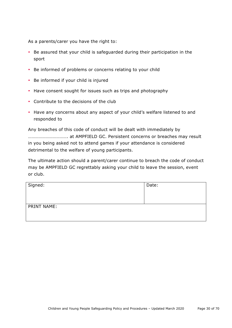As a parents/carer you have the right to:

- Be assured that your child is safeguarded during their participation in the sport
- Be informed of problems or concerns relating to your child
- Be informed if your child is injured
- Have consent sought for issues such as trips and photography
- Contribute to the decisions of the club
- Have any concerns about any aspect of your child's welfare listened to and responded to

Any breaches of this code of conduct will be dealt with immediately by ……………………………. at AMPFIELD GC. Persistent concerns or breaches may result in you being asked not to attend games if your attendance is considered detrimental to the welfare of young participants.

The ultimate action should a parent/carer continue to breach the code of conduct may be AMPFIELD GC regrettably asking your child to leave the session, event or club.

| Signed:     | Date: |
|-------------|-------|
| PRINT NAME: |       |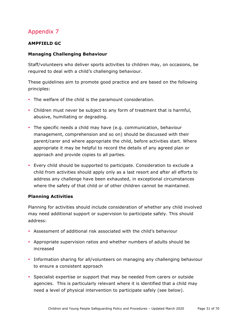## **AMPFIELD GC**

## **Managing Challenging Behaviour**

Staff/volunteers who deliver sports activities to children may, on occasions, be required to deal with a child's challenging behaviour.

These guidelines aim to promote good practice and are based on the following principles:

- The welfare of the child is the paramount consideration.
- Children must never be subject to any form of treatment that is harmful, abusive, humiliating or degrading.
- The specific needs a child may have (e.g. communication, behaviour management, comprehension and so on) should be discussed with their parent/carer and where appropriate the child, before activities start. Where appropriate it may be helpful to record the details of any agreed plan or approach and provide copies to all parties.
- Every child should be supported to participate. Consideration to exclude a child from activities should apply only as a last resort and after all efforts to address any challenge have been exhausted, in exceptional circumstances where the safety of that child or of other children cannot be maintained.

## **Planning Activities**

Planning for activities should include consideration of whether any child involved may need additional support or supervision to participate safely. This should address:

- Assessment of additional risk associated with the child's behaviour
- Appropriate supervision ratios and whether numbers of adults should be increased
- Information sharing for all/volunteers on managing any challenging behaviour to ensure a consistent approach
- Specialist expertise or support that may be needed from carers or outside agencies. This is particularly relevant where it is identified that a child may need a level of physical intervention to participate safely (see below).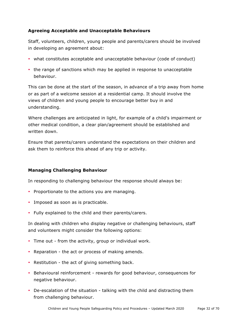## **Agreeing Acceptable and Unacceptable Behaviours**

Staff, volunteers, children, young people and parents/carers should be involved in developing an agreement about:

- what constitutes acceptable and unacceptable behaviour (code of conduct)
- the range of sanctions which may be applied in response to unacceptable behaviour.

This can be done at the start of the season, in advance of a trip away from home or as part of a welcome session at a residential camp. It should involve the views of children and young people to encourage better buy in and understanding.

Where challenges are anticipated in light, for example of a child's impairment or other medical condition, a clear plan/agreement should be established and written down.

Ensure that parents/carers understand the expectations on their children and ask them to reinforce this ahead of any trip or activity.

#### **Managing Challenging Behaviour**

In responding to challenging behaviour the response should always be:

- Proportionate to the actions you are managing.
- Imposed as soon as is practicable.
- Fully explained to the child and their parents/carers.

In dealing with children who display negative or challenging behaviours, staff and volunteers might consider the following options:

- Time out from the activity, group or individual work.
- Reparation the act or process of making amends.
- Restitution the act of giving something back.
- Behavioural reinforcement rewards for good behaviour, consequences for negative behaviour.
- De-escalation of the situation talking with the child and distracting them from challenging behaviour.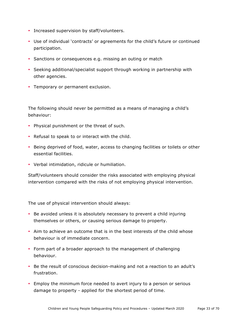- Increased supervision by staff/volunteers.
- Use of individual 'contracts' or agreements for the child's future or continued participation.
- Sanctions or consequences e.g. missing an outing or match
- Seeking additional/specialist support through working in partnership with other agencies.
- Temporary or permanent exclusion.

The following should never be permitted as a means of managing a child's behaviour:

- Physical punishment or the threat of such.
- Refusal to speak to or interact with the child.
- Being deprived of food, water, access to changing facilities or toilets or other essential facilities.
- Verbal intimidation, ridicule or humiliation.

Staff/volunteers should consider the risks associated with employing physical intervention compared with the risks of not employing physical intervention.

The use of physical intervention should always:

- Be avoided unless it is absolutely necessary to prevent a child injuring themselves or others, or causing serious damage to property.
- Aim to achieve an outcome that is in the best interests of the child whose behaviour is of immediate concern.
- Form part of a broader approach to the management of challenging behaviour.
- Be the result of conscious decision-making and not a reaction to an adult's frustration.
- Employ the minimum force needed to avert injury to a person or serious damage to property - applied for the shortest period of time.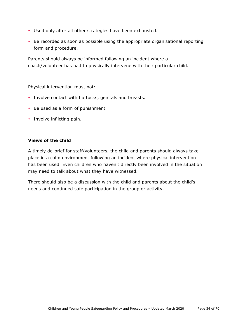- Used only after all other strategies have been exhausted.
- Be recorded as soon as possible using the appropriate organisational reporting form and procedure.

Parents should always be informed following an incident where a coach/volunteer has had to physically intervene with their particular child.

Physical intervention must not:

- Involve contact with buttocks, genitals and breasts.
- Be used as a form of punishment.
- Involve inflicting pain.

#### **Views of the child**

A timely de-brief for staff/volunteers, the child and parents should always take place in a calm environment following an incident where physical intervention has been used. Even children who haven't directly been involved in the situation may need to talk about what they have witnessed.

There should also be a discussion with the child and parents about the child's needs and continued safe participation in the group or activity.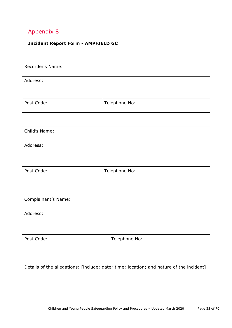## **Incident Report Form - AMPFIELD GC**

| Recorder's Name: |               |
|------------------|---------------|
| Address:         |               |
| Post Code:       | Telephone No: |

| Child's Name: |               |
|---------------|---------------|
| Address:      |               |
|               |               |
| Post Code:    | Telephone No: |

| Complainant's Name: |               |
|---------------------|---------------|
| Address:            |               |
| Post Code:          | Telephone No: |

| Details of the allegations: [include: date; time; location; and nature of the incident] |
|-----------------------------------------------------------------------------------------|
|                                                                                         |
|                                                                                         |
|                                                                                         |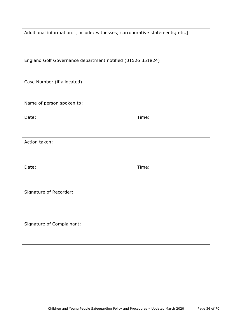| Additional information: [include: witnesses; corroborative statements; etc.] |       |
|------------------------------------------------------------------------------|-------|
|                                                                              |       |
| England Golf Governance department notified (01526 351824)                   |       |
| Case Number (if allocated):                                                  |       |
| Name of person spoken to:                                                    |       |
| Date:                                                                        | Time: |
|                                                                              |       |
| Action taken:                                                                |       |
|                                                                              |       |
| Date:                                                                        | Time: |
| Signature of Recorder:                                                       |       |
|                                                                              |       |
|                                                                              |       |
| Signature of Complainant:                                                    |       |
|                                                                              |       |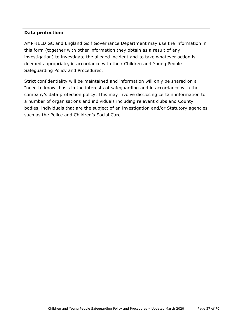#### **Data protection:**

AMPFIELD GC and England Golf Governance Department may use the information in this form (together with other information they obtain as a result of any investigation) to investigate the alleged incident and to take whatever action is deemed appropriate, in accordance with their Children and Young People Safeguarding Policy and Procedures.

Strict confidentiality will be maintained and information will only be shared on a "need to know" basis in the interests of safeguarding and in accordance with the company's data protection policy. This may involve disclosing certain information to a number of organisations and individuals including relevant clubs and County bodies, individuals that are the subject of an investigation and/or Statutory agencies such as the Police and Children's Social Care.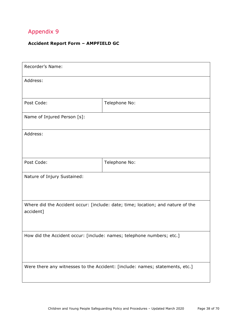## **Accident Report Form – AMPFIELD GC**

| Recorder's Name:                                                                             |               |  |
|----------------------------------------------------------------------------------------------|---------------|--|
| Address:                                                                                     |               |  |
|                                                                                              |               |  |
| Post Code:                                                                                   | Telephone No: |  |
| Name of Injured Person [s]:                                                                  |               |  |
| Address:                                                                                     |               |  |
|                                                                                              |               |  |
| Post Code:                                                                                   | Telephone No: |  |
| Nature of Injury Sustained:                                                                  |               |  |
|                                                                                              |               |  |
| Where did the Accident occur: [include: date; time; location; and nature of the<br>accident] |               |  |
|                                                                                              |               |  |
| How did the Accident occur: [include: names; telephone numbers; etc.]                        |               |  |
|                                                                                              |               |  |
|                                                                                              |               |  |
| Were there any witnesses to the Accident: [include: names; statements, etc.]                 |               |  |
|                                                                                              |               |  |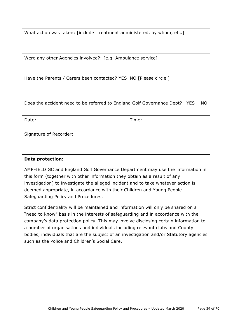What action was taken: [include: treatment administered, by whom, etc.]

Were any other Agencies involved?: [e.g. Ambulance service]

Have the Parents / Carers been contacted? YES NO [Please circle.]

Does the accident need to be referred to England Golf Governance Dept? YES NO

Date: Time:

Signature of Recorder:

#### **Data protection:**

AMPFIELD GC and England Golf Governance Department may use the information in this form (together with other information they obtain as a result of any investigation) to investigate the alleged incident and to take whatever action is deemed appropriate, in accordance with their Children and Young People Safeguarding Policy and Procedures.

Strict confidentiality will be maintained and information will only be shared on a "need to know" basis in the interests of safeguarding and in accordance with the company's data protection policy. This may involve disclosing certain information to a number of organisations and individuals including relevant clubs and County bodies, individuals that are the subject of an investigation and/or Statutory agencies such as the Police and Children's Social Care.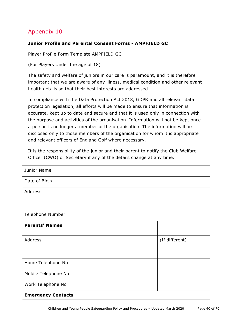## **Junior Profile and Parental Consent Forms - AMPFIELD GC**

Player Profile Form Template AMPFIELD GC

(For Players Under the age of 18)

The safety and welfare of juniors in our care is paramount, and it is therefore important that we are aware of any illness, medical condition and other relevant health details so that their best interests are addressed.

In compliance with the Data Protection Act 2018, GDPR and all relevant data protection legislation, all efforts will be made to ensure that information is accurate, kept up to date and secure and that it is used only in connection with the purpose and activities of the organisation. Information will not be kept once a person is no longer a member of the organisation. The information will be disclosed only to those members of the organisation for whom it is appropriate and relevant officers of England Golf where necessary.

It is the responsibility of the junior and their parent to notify the Club Welfare Officer (CWO) or Secretary if any of the details change at any time.

| Junior Name               |                |
|---------------------------|----------------|
| Date of Birth             |                |
| Address                   |                |
|                           |                |
| Telephone Number          |                |
| <b>Parents' Names</b>     |                |
| Address                   | (If different) |
| Home Telephone No         |                |
| Mobile Telephone No       |                |
| Work Telephone No         |                |
| <b>Emergency Contacts</b> |                |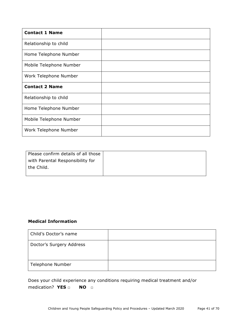| <b>Contact 1 Name</b>   |  |
|-------------------------|--|
| Relationship to child   |  |
| Home Telephone Number   |  |
| Mobile Telephone Number |  |
| Work Telephone Number   |  |
| <b>Contact 2 Name</b>   |  |
| Relationship to child   |  |
| Home Telephone Number   |  |
| Mobile Telephone Number |  |
| Work Telephone Number   |  |

| Please confirm details of all those |  |
|-------------------------------------|--|
| with Parental Responsibility for    |  |
| the Child.                          |  |
|                                     |  |

## **Medical Information**

| Child's Doctor's name    |  |
|--------------------------|--|
| Doctor's Surgery Address |  |
| <b>Telephone Number</b>  |  |

Does your child experience any conditions requiring medical treatment and/or medication? **YES □ NO □**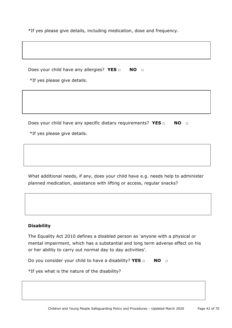\*If yes please give details, including medication, dose and frequency.

Does your child have any allergies? **YES □ NO □**

\*If yes please give details.

Does your child have any specific dietary requirements? **YES □ NO □**

\*If yes please give details.

What additional needs, if any, does your child have e.g. needs help to administer planned medication, assistance with lifting or access, regular snacks?

#### **Disability**

The Equality Act 2010 defines a disabled person as 'anyone with a physical or mental impairment, which has a substantial and long term adverse effect on his or her ability to carry out normal day to day activities'.

Do you consider your child to have a disability? **YES □ NO □**

\*If yes what is the nature of the disability?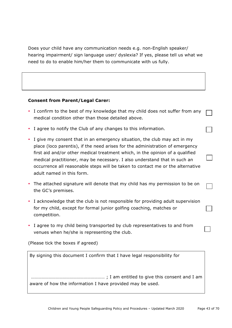Does your child have any communication needs e.g. non-English speaker/ hearing impairment/ sign language user/ dyslexia? If yes, please tell us what we need to do to enable him/her them to communicate with us fully.

#### **Consent from Parent/Legal Carer:**

- I confirm to the best of my knowledge that my child does not suffer from any medical condition other than those detailed above.
- I agree to notify the Club of any changes to this information.
- I give my consent that in an emergency situation, the club may act in my place (loco parentis), if the need arises for the administration of emergency first aid and/or other medical treatment which, in the opinion of a qualified medical practitioner, may be necessary. I also understand that in such an occurrence all reasonable steps will be taken to contact me or the alternative adult named in this form.
- The attached signature will denote that my child has my permission to be on the GC's premises.
- I acknowledge that the club is not responsible for providing adult supervision for my child, except for formal junior golfing coaching, matches or competition.
- I agree to my child being transported by club representatives to and from venues when he/she is representing the club.

(Please tick the boxes if agreed)

By signing this document I confirm that I have legal responsibility for

……………………………………………………… ; I am entitled to give this consent and I am aware of how the information I have provided may be used.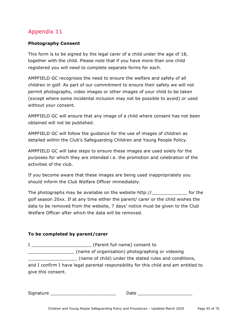## **Photography Consent**

This form is to be signed by the legal carer of a child under the age of 18, together with the child. Please note that if you have more than one child registered you will need to complete separate forms for each.

AMPFIELD GC recognises the need to ensure the welfare and safety of all children in golf. As part of our commitment to ensure their safety we will not permit photographs, video images or other images of your child to be taken (except where some incidental inclusion may not be possible to avoid) or used without your consent.

AMPFIELD GC will ensure that any image of a child where consent has not been obtained will not be published.

AMPFIELD GC will follow the guidance for the use of images of children as detailed within the Club's Safeguarding Children and Young People Policy.

AMPFIELD GC will take steps to ensure these images are used solely for the purposes for which they are intended i.e. the promotion and celebration of the activities of the club.

If you become aware that these images are being used inappropriately you should inform the Club Welfare Officer immediately.

The photographs may be available on the website http:// The photographs may be available on the website http:// golf season 20xx. If at any time either the parent/ carer or the child wishes the data to be removed from the website, 7 days' notice must be given to the Club Welfare Officer after which the data will be removed.

## **To be completed by parent/carer**

I \_\_\_\_\_\_\_\_\_\_\_\_\_\_\_\_\_\_\_\_\_\_ (Parent full name) consent to \_\_\_\_\_\_\_\_\_\_\_\_\_\_\_\_\_ (name of organisation) photographing or videoing \_\_\_\_\_\_\_\_\_\_\_\_\_\_\_\_\_\_ (name of child) under the stated rules and conditions, and I confirm I have legal parental responsibility for this child and am entitled to

give this consent.

| <b>-</b><br><b>1140</b><br>Sior |  |
|---------------------------------|--|
|---------------------------------|--|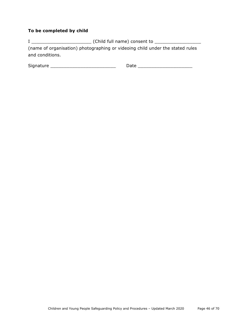## **To be completed by child**

I \_\_\_\_\_\_\_\_\_\_\_\_\_\_\_\_\_\_\_\_\_\_ (Child full name) consent to \_\_\_\_\_\_\_\_\_\_\_\_\_\_\_\_\_ (name of organisation) photographing or videoing child under the stated rules and conditions.

| $\sim$<br>۱۲ |  |
|--------------|--|
|              |  |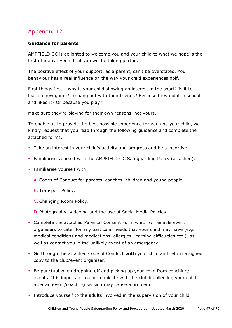## **Guidance for parents**

AMPFIELD GC is delighted to welcome you and your child to what we hope is the first of many events that you will be taking part in.

The positive effect of your support, as a parent, can't be overstated. Your behaviour has a real influence on the way your child experiences golf.

First things first – why is your child showing an interest in the sport? Is it to learn a new game? To hang out with their friends? Because they did it in school and liked it? Or because you play?

Make sure they're playing for their own reasons, not yours.

To enable us to provide the best possible experience for you and your child, we kindly request that you read through the following guidance and complete the attached forms.

- Take an interest in your child's activity and progress and be supportive.
- Familiarise yourself with the AMPFIELD GC Safeguarding Policy (attached).
- Familiarise yourself with
	- A. Codes of Conduct for parents, coaches, children and young people.
	- B. Transport Policy.
	- C. Changing Room Policy.
	- D. Photography, Videoing and the use of Social Media Policies.
- Complete the attached Parental Consent Form which will enable event organisers to cater for any particular needs that your child may have (e.g. medical conditions and medications, allergies, learning difficulties etc.), as well as contact you in the unlikely event of an emergency.
- Go through the attached Code of Conduct **with** your child and return a signed copy to the club/event organiser.
- Be punctual when dropping off and picking up your child from coaching/ events. It is important to communicate with the club if collecting your child after an event/coaching session may cause a problem.
- Introduce yourself to the adults involved in the supervision of your child.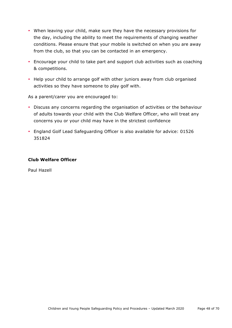- When leaving your child, make sure they have the necessary provisions for the day, including the ability to meet the requirements of changing weather conditions. Please ensure that your mobile is switched on when you are away from the club, so that you can be contacted in an emergency.
- Encourage your child to take part and support club activities such as coaching & competitions.
- Help your child to arrange golf with other juniors away from club organised activities so they have someone to play golf with.

As a parent/carer you are encouraged to:

- Discuss any concerns regarding the organisation of activities or the behaviour of adults towards your child with the Club Welfare Officer, who will treat any concerns you or your child may have in the strictest confidence
- England Golf Lead Safeguarding Officer is also available for advice: 01526 351824

#### **Club Welfare Officer**

Paul Hazell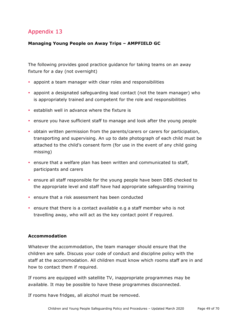## **Managing Young People on Away Trips – AMPFIELD GC**

The following provides good practice guidance for taking teams on an away fixture for a day (not overnight)

- appoint a team manager with clear roles and responsibilities
- appoint a designated safeguarding lead contact (not the team manager) who is appropriately trained and competent for the role and responsibilities
- establish well in advance where the fixture is
- ensure you have sufficient staff to manage and look after the young people
- obtain written permission from the parents/carers or carers for participation, transporting and supervising. An up to date photograph of each child must be attached to the child's consent form (for use in the event of any child going missing)
- ensure that a welfare plan has been written and communicated to staff, participants and carers
- ensure all staff responsible for the young people have been DBS checked to the appropriate level and staff have had appropriate safeguarding training
- ensure that a risk assessment has been conducted
- ensure that there is a contact available e.g a staff member who is not travelling away, who will act as the key contact point if required.

## **Accommodation**

Whatever the accommodation, the team manager should ensure that the children are safe. Discuss your code of conduct and discipline policy with the staff at the accommodation. All children must know which rooms staff are in and how to contact them if required.

If rooms are equipped with satellite TV, inappropriate programmes may be available. It may be possible to have these programmes disconnected.

If rooms have fridges, all alcohol must be removed.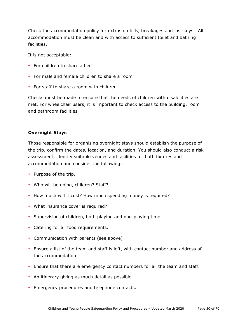Check the accommodation policy for extras on bills, breakages and lost keys. All accommodation must be clean and with access to sufficient toilet and bathing facilities.

It is not acceptable:

- For children to share a bed
- For male and female children to share a room
- For staff to share a room with children

Checks must be made to ensure that the needs of children with disabilities are met. For wheelchair users, it is important to check access to the building, room and bathroom facilities

#### **Overnight Stays**

Those responsible for organising overnight stays should establish the purpose of the trip, confirm the dates, location, and duration. You should also conduct a risk assessment, identify suitable venues and facilities for both fixtures and accommodation and consider the following:

- Purpose of the trip.
- Who will be going, children? Staff?
- How much will it cost? How much spending money is required?
- What insurance cover is required?
- Supervision of children, both playing and non-playing time.
- Catering for all food requirements.
- Communication with parents (see above)
- Ensure a list of the team and staff is left, with contact number and address of the accommodation
- Ensure that there are emergency contact numbers for all the team and staff.
- An itinerary giving as much detail as possible.
- Emergency procedures and telephone contacts.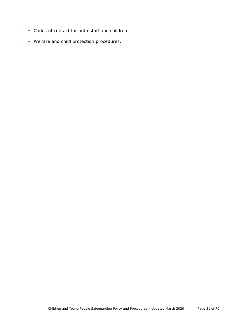- Codes of contact for both staff and children.
- Welfare and child protection procedures.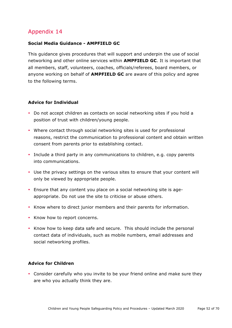#### **Social Media Guidance - AMPFIELD GC**

This guidance gives procedures that will support and underpin the use of social networking and other online services within **AMPFIELD GC**. It is important that all members, staff, volunteers, coaches, officials/referees, board members, or anyone working on behalf of **AMPFIELD GC** are aware of this policy and agree to the following terms.

#### **Advice for Individual**

- Do not accept children as contacts on social networking sites if you hold a position of trust with children/young people.
- Where contact through social networking sites is used for professional reasons, restrict the communication to professional content and obtain written consent from parents prior to establishing contact.
- Include a third party in any communications to children, e.g. copy parents into communications.
- Use the privacy settings on the various sites to ensure that your content will only be viewed by appropriate people.
- Ensure that any content you place on a social networking site is ageappropriate. Do not use the site to criticise or abuse others.
- Know where to direct junior members and their parents for information.
- Know how to report concerns.
- Know how to keep data safe and secure. This should include the personal contact data of individuals, such as mobile numbers, email addresses and social networking profiles.

#### **Advice for Children**

• Consider carefully who you invite to be your friend online and make sure they are who you actually think they are.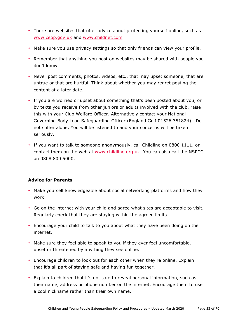- There are websites that offer advice about protecting yourself online, such as www.ceop.gov.uk and www.childnet.com
- Make sure you use privacy settings so that only friends can view your profile.
- Remember that anything you post on websites may be shared with people you don't know.
- Never post comments, photos, videos, etc., that may upset someone, that are untrue or that are hurtful. Think about whether you may regret posting the content at a later date.
- If you are worried or upset about something that's been posted about you, or by texts you receive from other juniors or adults involved with the club, raise this with your Club Welfare Officer. Alternatively contact your National Governing Body Lead Safeguarding Officer (England Golf 01526 351824). Do not suffer alone. You will be listened to and your concerns will be taken seriously.
- If you want to talk to someone anonymously, call Childline on 0800 1111, or contact them on the web at www.childline.org.uk. You can also call the NSPCC on 0808 800 5000.

#### **Advice for Parents**

- Make yourself knowledgeable about social networking platforms and how they work.
- Go on the internet with your child and agree what sites are acceptable to visit. Regularly check that they are staying within the agreed limits.
- Encourage your child to talk to you about what they have been doing on the internet.
- Make sure they feel able to speak to you if they ever feel uncomfortable, upset or threatened by anything they see online.
- Encourage children to look out for each other when they're online. Explain that it's all part of staying safe and having fun together.
- Explain to children that it's not safe to reveal personal information, such as their name, address or phone number on the internet. Encourage them to use a cool nickname rather than their own name.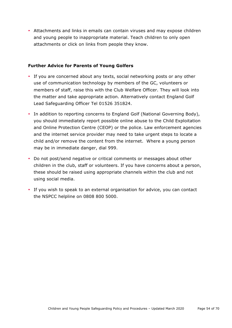• Attachments and links in emails can contain viruses and may expose children and young people to inappropriate material. Teach children to only open attachments or click on links from people they know.

## **Further Advice for Parents of Young Golfers**

- If you are concerned about any texts, social networking posts or any other use of communication technology by members of the GC, volunteers or members of staff, raise this with the Club Welfare Officer. They will look into the matter and take appropriate action. Alternatively contact England Golf Lead Safeguarding Officer Tel 01526 351824.
- In addition to reporting concerns to England Golf (National Governing Body), you should immediately report possible online abuse to the Child Exploitation and Online Protection Centre (CEOP) or the police. Law enforcement agencies and the internet service provider may need to take urgent steps to locate a child and/or remove the content from the internet. Where a young person may be in immediate danger, dial 999.
- Do not post/send negative or critical comments or messages about other children in the club, staff or volunteers. If you have concerns about a person, these should be raised using appropriate channels within the club and not using social media.
- If you wish to speak to an external organisation for advice, you can contact the NSPCC helpline on 0808 800 5000.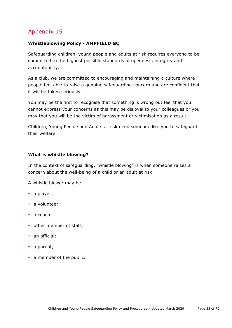#### **Whistleblowing Policy - AMPFIELD GC**

Safeguarding children, young people and adults at risk requires everyone to be committed to the highest possible standards of openness, integrity and accountability.

As a club, we are committed to encouraging and maintaining a culture where people feel able to raise a genuine safeguarding concern and are confident that it will be taken seriously.

You may be the first to recognise that something is wrong but feel that you cannot express your concerns as this may be disloyal to your colleagues or you may that you will be the victim of harassment or victimisation as a result.

Children, Young People and Adults at risk need someone like you to safeguard their welfare.

#### **What is whistle blowing?**

In the context of safeguarding, "whistle blowing" is when someone raises a concern about the well-being of a child or an adult at risk.

A whistle blower may be:

- a player;
- a volunteer;
- a coach;
- other member of staff;
- an official;
- a parent;
- a member of the public.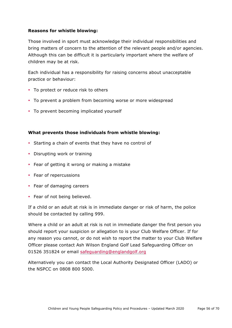## **Reasons for whistle blowing:**

Those involved in sport must acknowledge their individual responsibilities and bring matters of concern to the attention of the relevant people and/or agencies. Although this can be difficult it is particularly important where the welfare of children may be at risk.

Each individual has a responsibility for raising concerns about unacceptable practice or behaviour:

- To protect or reduce risk to others
- To prevent a problem from becoming worse or more widespread
- To prevent becoming implicated yourself

#### **What prevents those individuals from whistle blowing:**

- Starting a chain of events that they have no control of
- Disrupting work or training
- Fear of getting it wrong or making a mistake
- Fear of repercussions
- Fear of damaging careers
- Fear of not being believed.

If a child or an adult at risk is in immediate danger or risk of harm, the police should be contacted by calling 999.

Where a child or an adult at risk is not in immediate danger the first person you should report your suspicion or allegation to is your Club Welfare Officer. If for any reason you cannot, or do not wish to report the matter to your Club Welfare Officer please contact Ash Wilson England Golf Lead Safeguarding Officer on 01526 351824 or email safeguarding@englandgolf.org

Alternatively you can contact the Local Authority Designated Officer (LADO) or the NSPCC on 0808 800 5000.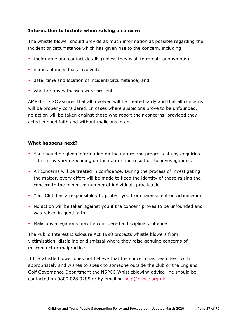## **Information to include when raising a concern**

The whistle blower should provide as much information as possible regarding the incident or circumstance which has given rise to the concern, including:

- their name and contact details (unless they wish to remain anonymous);
- names of individuals involved;
- date, time and location of incident/circumstance; and
- whether any witnesses were present.

AMPFIELD GC assures that all involved will be treated fairly and that all concerns will be properly considered. In cases where suspicions prove to be unfounded, no action will be taken against those who report their concerns, provided they acted in good faith and without malicious intent.

#### **What happens next?**

- You should be given information on the nature and progress of any enquiries – this may vary depending on the nature and result of the investigations.
- All concerns will be treated in confidence. During the process of investigating the matter, every effort will be made to keep the identity of those raising the concern to the minimum number of individuals practicable.
- Your Club has a responsibility to protect you from harassment or victimisation
- No action will be taken against you if the concern proves to be unfounded and was raised in good faith
- Malicious allegations may be considered a disciplinary offence

The Public Interest Disclosure Act 1998 protects whistle blowers from victimisation, discipline or dismissal where they raise genuine concerns of misconduct or malpractice.

If the whistle blower does not believe that the concern has been dealt with appropriately and wishes to speak to someone outside the club or the England Golf Governance Department the NSPCC Whistleblowing advice line should be contacted on 0800 028 0285 or by emailing help@nspcc.org.uk.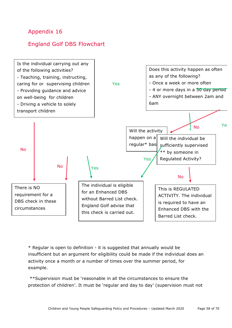## England Golf DBS Flowchart



\* Regular is open to definition - it is suggested that annually would be insufficient but an argument for eligibility could be made if the individual does an activity once a month or a number of times over the summer period, for example.

\*\*Supervision must be 'reasonable in all the circumstances to ensure the protection of children'. It must be 'regular and day to day' (supervision must not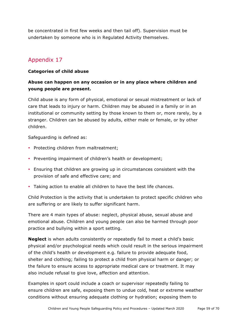be concentrated in first few weeks and then tail off). Supervision must be undertaken by someone who is in Regulated Activity themselves.

## Appendix 17

## **Categories of child abuse**

## **Abuse can happen on any occasion or in any place where children and young people are present.**

Child abuse is any form of physical, emotional or sexual mistreatment or lack of care that leads to injury or harm. Children may be abused in a family or in an institutional or community setting by those known to them or, more rarely, by a stranger. Children can be abused by adults, either male or female, or by other children.

Safeguarding is defined as:

- Protecting children from maltreatment;
- Preventing impairment of children's health or development;
- Ensuring that children are growing up in circumstances consistent with the provision of safe and effective care; and
- Taking action to enable all children to have the best life chances.

Child Protection is the activity that is undertaken to protect specific children who are suffering or are likely to suffer significant harm.

There are 4 main types of abuse: neglect, physical abuse, sexual abuse and emotional abuse. Children and young people can also be harmed through poor practice and bullying within a sport setting.

**Neglect** is when adults consistently or repeatedly fail to meet a child's basic physical and/or psychological needs which could result in the serious impairment of the child's health or development e.g. failure to provide adequate food, shelter and clothing; failing to protect a child from physical harm or danger; or the failure to ensure access to appropriate medical care or treatment. It may also include refusal to give love, affection and attention.

Examples in sport could include a coach or supervisor repeatedly failing to ensure children are safe, exposing them to undue cold, heat or extreme weather conditions without ensuring adequate clothing or hydration; exposing them to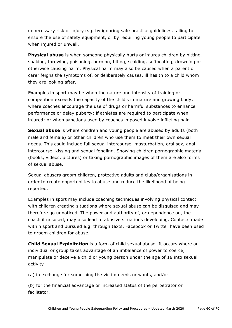unnecessary risk of injury e.g. by ignoring safe practice guidelines, failing to ensure the use of safety equipment, or by requiring young people to participate when injured or unwell.

**Physical abuse** is when someone physically hurts or injures children by hitting, shaking, throwing, poisoning, burning, biting, scalding, suffocating, drowning or otherwise causing harm. Physical harm may also be caused when a parent or carer feigns the symptoms of, or deliberately causes, ill health to a child whom they are looking after.

Examples in sport may be when the nature and intensity of training or competition exceeds the capacity of the child's immature and growing body; where coaches encourage the use of drugs or harmful substances to enhance performance or delay puberty; if athletes are required to participate when injured; or when sanctions used by coaches imposed involve inflicting pain.

**Sexual abuse** is where children and young people are abused by adults (both male and female) or other children who use them to meet their own sexual needs. This could include full sexual intercourse, masturbation, oral sex, anal intercourse, kissing and sexual fondling. Showing children pornographic material (books, videos, pictures) or taking pornographic images of them are also forms of sexual abuse.

Sexual abusers groom children, protective adults and clubs/organisations in order to create opportunities to abuse and reduce the likelihood of being reported.

Examples in sport may include coaching techniques involving physical contact with children creating situations where sexual abuse can be disguised and may therefore go unnoticed. The power and authority of, or dependence on, the coach if misused, may also lead to abusive situations developing. Contacts made within sport and pursued e.g. through texts, Facebook or Twitter have been used to groom children for abuse.

**Child Sexual Exploitation** is a form of child sexual abuse. It occurs where an individual or group takes advantage of an imbalance of power to coerce, manipulate or deceive a child or young person under the age of 18 into sexual activity

(a) in exchange for something the victim needs or wants, and/or

(b) for the financial advantage or increased status of the perpetrator or facilitator.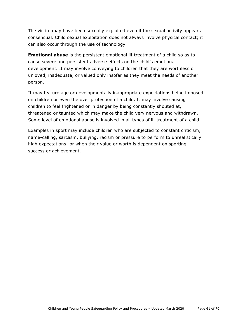The victim may have been sexually exploited even if the sexual activity appears consensual. Child sexual exploitation does not always involve physical contact; it can also occur through the use of technology.

**Emotional abuse** is the persistent emotional ill-treatment of a child so as to cause severe and persistent adverse effects on the child's emotional development. It may involve conveying to children that they are worthless or unloved, inadequate, or valued only insofar as they meet the needs of another person.

It may feature age or developmentally inappropriate expectations being imposed on children or even the over protection of a child. It may involve causing children to feel frightened or in danger by being constantly shouted at, threatened or taunted which may make the child very nervous and withdrawn. Some level of emotional abuse is involved in all types of ill-treatment of a child.

Examples in sport may include children who are subjected to constant criticism, name-calling, sarcasm, bullying, racism or pressure to perform to unrealistically high expectations; or when their value or worth is dependent on sporting success or achievement.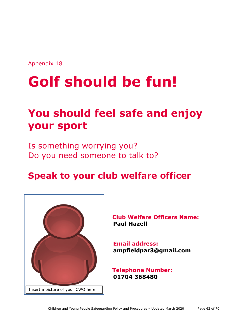# **Golf should be fun!**

# **You should feel safe and enjoy your sport**

Is something worrying you? Do you need someone to talk to?

# **Speak to your club welfare officer**



**Club Welfare Officers Name: Paul Hazell**

 **Email address: ampfieldpar3@gmail.com**

**Telephone Number: 01704 368480**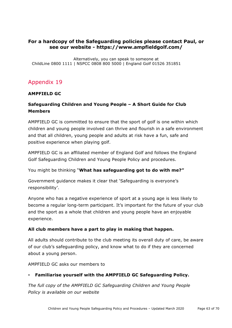## **For a hardcopy of the Safeguarding policies please contact Paul, or see our website - https://www.ampfieldgolf.com/**

Alternatively, you can speak to someone at ChildLine 0800 1111 | NSPCC 0808 800 5000 | England Golf 01526 351851

## Appendix 19

## **AMPFIELD GC**

## **Safeguarding Children and Young People – A Short Guide for Club Members**

AMPFIELD GC is committed to ensure that the sport of golf is one within which children and young people involved can thrive and flourish in a safe environment and that all children, young people and adults at risk have a fun, safe and positive experience when playing golf.

AMPFIELD GC is an affiliated member of England Golf and follows the England Golf Safeguarding Children and Young People Policy and procedures.

You might be thinking "**What has safeguarding got to do with me?"**

Government guidance makes it clear that 'Safeguarding is everyone's responsibility'.

Anyone who has a negative experience of sport at a young age is less likely to become a regular long-term participant. It's important for the future of your club and the sport as a whole that children and young people have an enjoyable experience.

## **All club members have a part to play in making that happen.**

All adults should contribute to the club meeting its overall duty of care, be aware of our club's safeguarding policy, and know what to do if they are concerned about a young person.

AMPFIELD GC asks our members to

## • **Familiarise yourself with the AMPFIELD GC Safeguarding Policy.**

*The full copy of the AMPFIELD GC Safeguarding Children and Young People Policy is available on our website*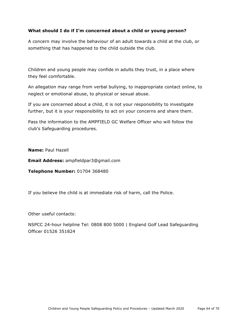## **What should I do if I'm concerned about a child or young person?**

A concern may involve the behaviour of an adult towards a child at the club, or something that has happened to the child outside the club.

Children and young people may confide in adults they trust, in a place where they feel comfortable.

An allegation may range from verbal bullying, to inappropriate contact online, to neglect or emotional abuse, to physical or sexual abuse.

If you are concerned about a child, it is not your responsibility to investigate further, but it is your responsibility to act on your concerns and share them.

Pass the information to the AMPFIELD GC Welfare Officer who will follow the club's Safeguarding procedures.

**Name:** Paul Hazell

**Email Address:** ampfieldpar3@gmail.com

**Telephone Number:** 01704 368480

If you believe the child is at immediate risk of harm, call the Police.

Other useful contacts:

NSPCC 24-hour helpline Tel: 0808 800 5000 | England Golf Lead Safeguarding Officer 01526 351824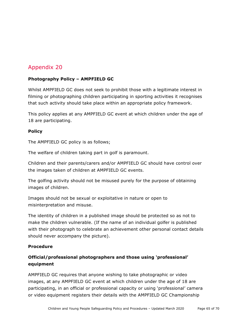## **Photography Policy – AMPFIELD GC**

Whilst AMPFIELD GC does not seek to prohibit those with a legitimate interest in filming or photographing children participating in sporting activities it recognises that such activity should take place within an appropriate policy framework.

This policy applies at any AMPFIELD GC event at which children under the age of 18 are participating.

## **Policy**

The AMPFIELD GC policy is as follows;

The welfare of children taking part in golf is paramount.

Children and their parents/carers and/or AMPFIELD GC should have control over the images taken of children at AMPFIELD GC events.

The golfing activity should not be misused purely for the purpose of obtaining images of children.

Images should not be sexual or exploitative in nature or open to misinterpretation and misuse.

The identity of children in a published image should be protected so as not to make the children vulnerable. (If the name of an individual golfer is published with their photograph to celebrate an achievement other personal contact details should never accompany the picture).

## **Procedure**

## **Official/professional photographers and those using 'professional' equipment**

AMPFIELD GC requires that anyone wishing to take photographic or video images, at any AMPFIELD GC event at which children under the age of 18 are participating, in an official or professional capacity or using 'professional' camera or video equipment registers their details with the AMPFIELD GC Championship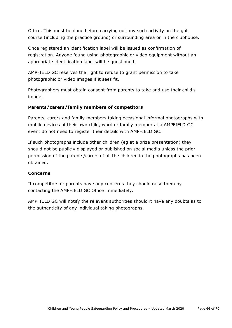Office. This must be done before carrying out any such activity on the golf course (including the practice ground) or surrounding area or in the clubhouse.

Once registered an identification label will be issued as confirmation of registration. Anyone found using photographic or video equipment without an appropriate identification label will be questioned.

AMPFIELD GC reserves the right to refuse to grant permission to take photographic or video images if it sees fit.

Photographers must obtain consent from parents to take and use their child's image.

## **Parents/carers/family members of competitors**

Parents, carers and family members taking occasional informal photographs with mobile devices of their own child, ward or family member at a AMPFIELD GC event do not need to register their details with AMPFIELD GC.

If such photographs include other children (eg at a prize presentation) they should not be publicly displayed or published on social media unless the prior permission of the parents/carers of all the children in the photographs has been obtained.

## **Concerns**

If competitors or parents have any concerns they should raise them by contacting the AMPFIELD GC Office immediately.

AMPFIELD GC will notify the relevant authorities should it have any doubts as to the authenticity of any individual taking photographs.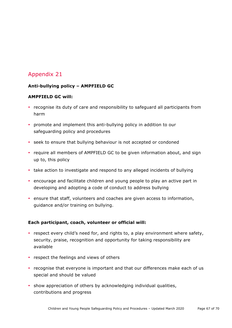## **Anti-bullying policy – AMPFIELD GC**

## **AMPFIELD GC will:**

- recognise its duty of care and responsibility to safeguard all participants from harm
- promote and implement this anti-bullying policy in addition to our safeguarding policy and procedures
- seek to ensure that bullying behaviour is not accepted or condoned
- require all members of AMPFIELD GC to be given information about, and sign up to, this policy
- take action to investigate and respond to any alleged incidents of bullying
- encourage and facilitate children and young people to play an active part in developing and adopting a code of conduct to address bullying
- ensure that staff, volunteers and coaches are given access to information, guidance and/or training on bullying.

## **Each participant, coach, volunteer or official will:**

- respect every child's need for, and rights to, a play environment where safety, security, praise, recognition and opportunity for taking responsibility are available
- respect the feelings and views of others
- recognise that everyone is important and that our differences make each of us special and should be valued
- show appreciation of others by acknowledging individual qualities, contributions and progress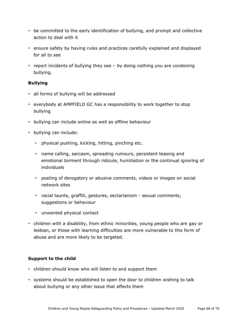- be committed to the early identification of bullying, and prompt and collective action to deal with it
- ensure safety by having rules and practices carefully explained and displayed for all to see
- report incidents of bullying they see by doing nothing you are condoning bullying.

## **Bullying**

- all forms of bullying will be addressed
- everybody at AMPFIELD GC has a responsibility to work together to stop bullying
- bullying can include online as well as offline behaviour
- bullying can include:
	- physical pushing, kicking, hitting, pinching etc.
	- name calling, sarcasm, spreading rumours, persistent teasing and emotional torment through ridicule, humiliation or the continual ignoring of individuals
	- posting of derogatory or abusive comments, videos or images on social network sites
	- racial taunts, graffiti, gestures, sectarianism sexual comments, suggestions or behaviour
	- unwanted physical contact
- children with a disability, from ethnic minorities, young people who are gay or lesbian, or those with learning difficulties are more vulnerable to this form of abuse and are more likely to be targeted.

#### **Support to the child**

- children should know who will listen to and support them
- systems should be established to open the door to children wishing to talk about bullying or any other issue that affects them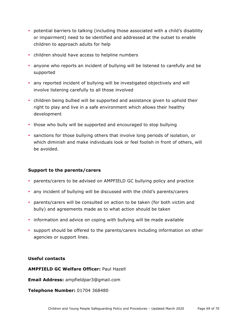- potential barriers to talking (including those associated with a child's disability or impairment) need to be identified and addressed at the outset to enable children to approach adults for help
- children should have access to helpline numbers
- anyone who reports an incident of bullying will be listened to carefully and be supported
- any reported incident of bullying will be investigated objectively and will involve listening carefully to all those involved
- children being bullied will be supported and assistance given to uphold their right to play and live in a safe environment which allows their healthy development
- those who bully will be supported and encouraged to stop bullying
- sanctions for those bullying others that involve long periods of isolation, or which diminish and make individuals look or feel foolish in front of others, will be avoided.

#### **Support to the parents/carers**

- parents/carers to be advised on AMPFIELD GC bullying policy and practice
- any incident of bullying will be discussed with the child's parents/carers
- parents/carers will be consulted on action to be taken (for both victim and bully) and agreements made as to what action should be taken
- information and advice on coping with bullying will be made available
- support should be offered to the parents/carers including information on other agencies or support lines.

#### **Useful contacts**

**AMPFIELD GC Welfare Officer:** Paul Hazell

**Email Address:** ampfieldpar3@gmail.com

**Telephone Number:** 01704 368480